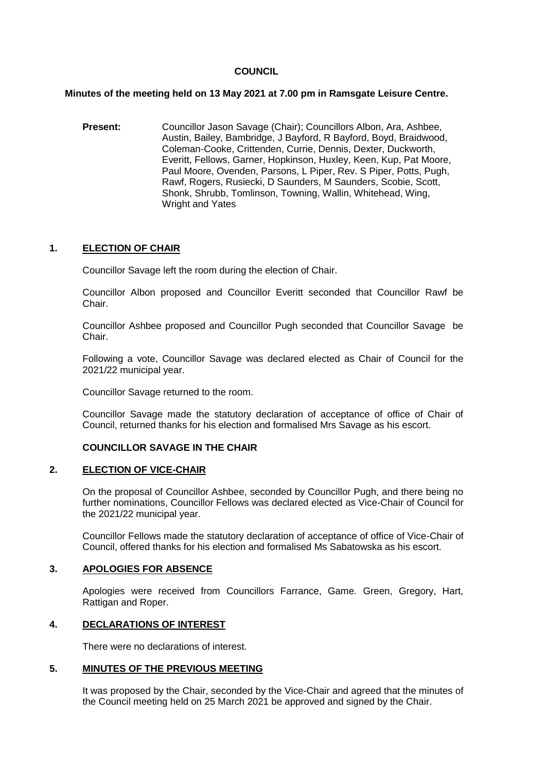## **COUNCIL**

### **Minutes of the meeting held on 13 May 2021 at 7.00 pm in Ramsgate Leisure Centre.**

**Present:** Councillor Jason Savage (Chair); Councillors Albon, Ara, Ashbee, Austin, Bailey, Bambridge, J Bayford, R Bayford, Boyd, Braidwood, Coleman-Cooke, Crittenden, Currie, Dennis, Dexter, Duckworth, Everitt, Fellows, Garner, Hopkinson, Huxley, Keen, Kup, Pat Moore, Paul Moore, Ovenden, Parsons, L Piper, Rev. S Piper, Potts, Pugh, Rawf, Rogers, Rusiecki, D Saunders, M Saunders, Scobie, Scott, Shonk, Shrubb, Tomlinson, Towning, Wallin, Whitehead, Wing, Wright and Yates

### **1. ELECTION OF CHAIR**

Councillor Savage left the room during the election of Chair.

Councillor Albon proposed and Councillor Everitt seconded that Councillor Rawf be Chair.

Councillor Ashbee proposed and Councillor Pugh seconded that Councillor Savage be Chair.

Following a vote, Councillor Savage was declared elected as Chair of Council for the 2021/22 municipal year.

Councillor Savage returned to the room.

Councillor Savage made the statutory declaration of acceptance of office of Chair of Council, returned thanks for his election and formalised Mrs Savage as his escort.

### **COUNCILLOR SAVAGE IN THE CHAIR**

### **2. ELECTION OF VICE-CHAIR**

On the proposal of Councillor Ashbee, seconded by Councillor Pugh, and there being no further nominations, Councillor Fellows was declared elected as Vice-Chair of Council for the 2021/22 municipal year.

Councillor Fellows made the statutory declaration of acceptance of office of Vice-Chair of Council, offered thanks for his election and formalised Ms Sabatowska as his escort.

## **3. APOLOGIES FOR ABSENCE**

Apologies were received from Councillors Farrance, Game. Green, Gregory, Hart, Rattigan and Roper.

## **4. DECLARATIONS OF INTEREST**

There were no declarations of interest.

## **5. MINUTES OF THE PREVIOUS MEETING**

It was proposed by the Chair, seconded by the Vice-Chair and agreed that the minutes of the Council meeting held on 25 March 2021 be approved and signed by the Chair.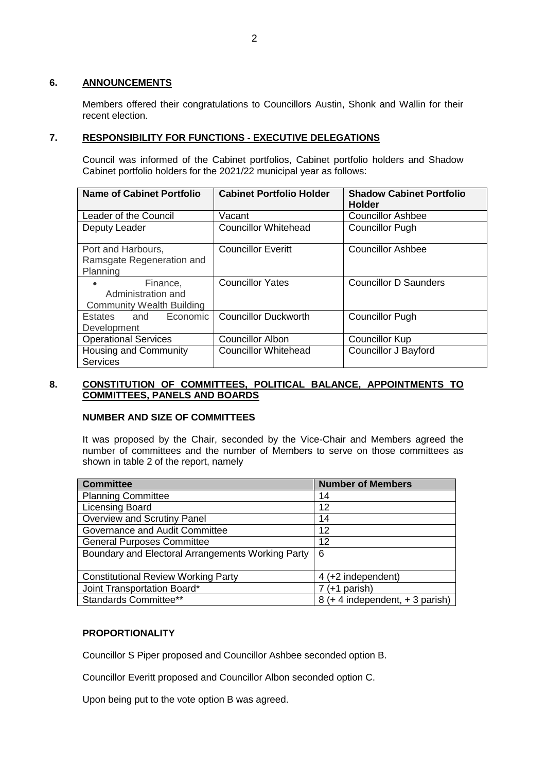### **6. ANNOUNCEMENTS**

Members offered their congratulations to Councillors Austin, Shonk and Wallin for their recent election.

## **7. RESPONSIBILITY FOR FUNCTIONS - EXECUTIVE DELEGATIONS**

Council was informed of the Cabinet portfolios, Cabinet portfolio holders and Shadow Cabinet portfolio holders for the 2021/22 municipal year as follows:

| <b>Name of Cabinet Portfolio</b> | <b>Cabinet Portfolio Holder</b>                         | <b>Shadow Cabinet Portfolio</b><br><b>Holder</b> |  |  |  |
|----------------------------------|---------------------------------------------------------|--------------------------------------------------|--|--|--|
| Leader of the Council            | Vacant                                                  | <b>Councillor Ashbee</b>                         |  |  |  |
| Deputy Leader                    | <b>Councillor Whitehead</b>                             | <b>Councillor Pugh</b>                           |  |  |  |
| Port and Harbours,               | <b>Councillor Everitt</b>                               | Councillor Ashbee                                |  |  |  |
| Ramsgate Regeneration and        |                                                         |                                                  |  |  |  |
| Planning                         |                                                         |                                                  |  |  |  |
| Finance,                         | <b>Councillor D Saunders</b><br><b>Councillor Yates</b> |                                                  |  |  |  |
| Administration and               |                                                         |                                                  |  |  |  |
| <b>Community Wealth Building</b> |                                                         |                                                  |  |  |  |
| Economic<br>Estates<br>and       | <b>Councillor Duckworth</b>                             | <b>Councillor Pugh</b>                           |  |  |  |
| Development                      |                                                         |                                                  |  |  |  |
| <b>Operational Services</b>      | <b>Councillor Albon</b>                                 | <b>Councillor Kup</b>                            |  |  |  |
| Housing and Community            | <b>Councillor Whitehead</b>                             | Councillor J Bayford                             |  |  |  |
| <b>Services</b>                  |                                                         |                                                  |  |  |  |

## **8. CONSTITUTION OF COMMITTEES, POLITICAL BALANCE, APPOINTMENTS TO COMMITTEES, PANELS AND BOARDS**

## **NUMBER AND SIZE OF COMMITTEES**

It was proposed by the Chair, seconded by the Vice-Chair and Members agreed the number of committees and the number of Members to serve on those committees as shown in table 2 of the report, namely

| <b>Committee</b>                                  | <b>Number of Members</b>        |  |  |
|---------------------------------------------------|---------------------------------|--|--|
| <b>Planning Committee</b>                         | 14                              |  |  |
| <b>Licensing Board</b>                            | 12                              |  |  |
| Overview and Scrutiny Panel                       | 14                              |  |  |
| Governance and Audit Committee                    | 12                              |  |  |
| <b>General Purposes Committee</b>                 | 12                              |  |  |
| Boundary and Electoral Arrangements Working Party | 6                               |  |  |
|                                                   |                                 |  |  |
| <b>Constitutional Review Working Party</b>        | 4 (+2 independent)              |  |  |
| Joint Transportation Board*                       | $7$ (+1 parish)                 |  |  |
| Standards Committee**                             | 8 (+ 4 independent, + 3 parish) |  |  |

## **PROPORTIONALITY**

Councillor S Piper proposed and Councillor Ashbee seconded option B.

Councillor Everitt proposed and Councillor Albon seconded option C.

Upon being put to the vote option B was agreed.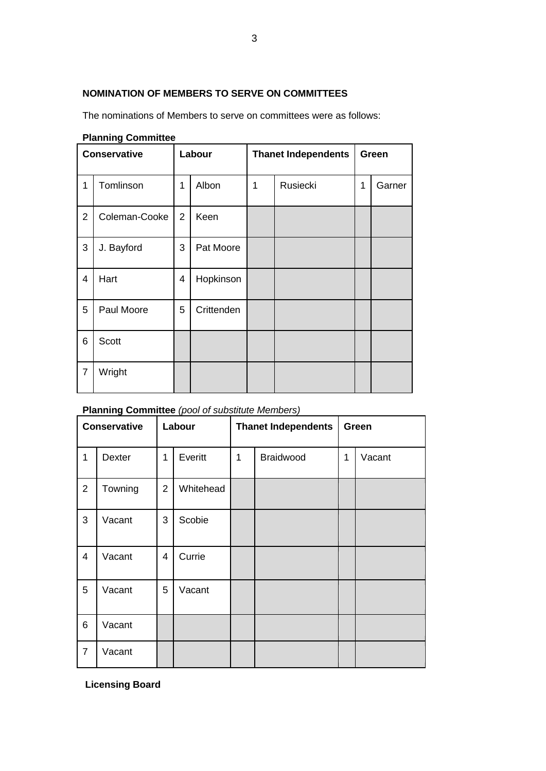# **NOMINATION OF MEMBERS TO SERVE ON COMMITTEES**

The nominations of Members to serve on committees were as follows:

|                | r ianning vommutee  |                |            |   |                            |       |        |  |  |  |  |
|----------------|---------------------|----------------|------------|---|----------------------------|-------|--------|--|--|--|--|
|                | <b>Conservative</b> |                | Labour     |   | <b>Thanet Independents</b> | Green |        |  |  |  |  |
| 1              | Tomlinson           | 1              | Albon      | 1 | Rusiecki                   | 1     | Garner |  |  |  |  |
| $\overline{2}$ | Coleman-Cooke       | $\overline{2}$ | Keen       |   |                            |       |        |  |  |  |  |
| 3              | J. Bayford          | 3              | Pat Moore  |   |                            |       |        |  |  |  |  |
| $\overline{4}$ | Hart                | 4              | Hopkinson  |   |                            |       |        |  |  |  |  |
| 5              | Paul Moore          | 5              | Crittenden |   |                            |       |        |  |  |  |  |
| 6              | Scott               |                |            |   |                            |       |        |  |  |  |  |
| $\overline{7}$ | Wright              |                |            |   |                            |       |        |  |  |  |  |

# **Planning Committee**

## **Planning Committee** *(pool of substitute Members)*

| <b>Conservative</b> |         | Labour         |           |   | <b>Thanet Independents</b> | Green |        |  |
|---------------------|---------|----------------|-----------|---|----------------------------|-------|--------|--|
| $\mathbf 1$         | Dexter  | 1              | Everitt   | 1 | Braidwood                  | 1     | Vacant |  |
| $\overline{2}$      | Towning | $\overline{2}$ | Whitehead |   |                            |       |        |  |
| 3                   | Vacant  | 3              | Scobie    |   |                            |       |        |  |
| $\overline{4}$      | Vacant  | 4              | Currie    |   |                            |       |        |  |
| 5                   | Vacant  | 5              | Vacant    |   |                            |       |        |  |
| 6                   | Vacant  |                |           |   |                            |       |        |  |
| $\overline{7}$      | Vacant  |                |           |   |                            |       |        |  |

**Licensing Board**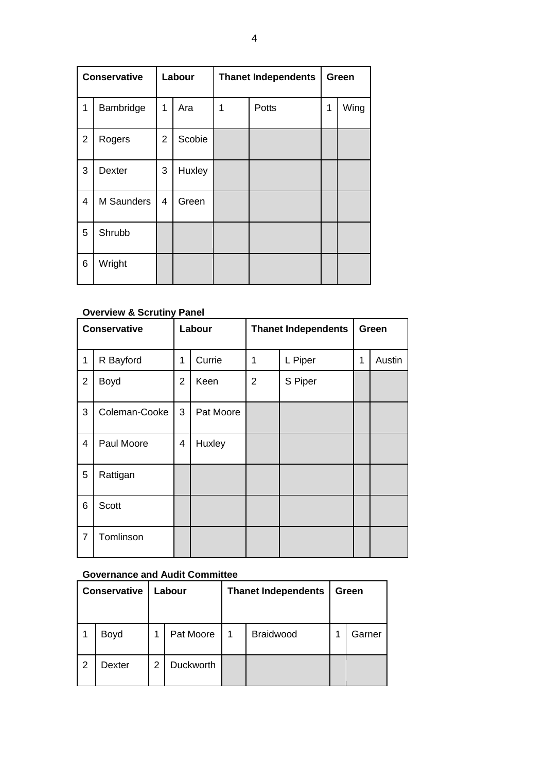| <b>Conservative</b> |               |                | Labour |   | <b>Thanet Independents</b> | Green |      |  |
|---------------------|---------------|----------------|--------|---|----------------------------|-------|------|--|
| 1                   | Bambridge     | 1              | Ara    | 1 | Potts                      | 1     | Wing |  |
| $\overline{2}$      | Rogers        | $\overline{2}$ | Scobie |   |                            |       |      |  |
| 3                   | <b>Dexter</b> | 3              | Huxley |   |                            |       |      |  |
| 4                   | M Saunders    | 4              | Green  |   |                            |       |      |  |
| 5                   | Shrubb        |                |        |   |                            |       |      |  |
| 6                   | Wright        |                |        |   |                            |       |      |  |

# **Overview & Scrutiny Panel**

|                | <b>Conservative</b> |                | Labour    |                | <b>Thanet Independents</b> | Green |        |
|----------------|---------------------|----------------|-----------|----------------|----------------------------|-------|--------|
| 1              | R Bayford           | 1              | Currie    | 1              | L Piper                    | 1     | Austin |
| $\overline{2}$ | Boyd                | $\overline{2}$ | Keen      | $\overline{2}$ | S Piper                    |       |        |
| 3              | Coleman-Cooke       | 3              | Pat Moore |                |                            |       |        |
| $\overline{4}$ | Paul Moore          | 4              | Huxley    |                |                            |       |        |
| 5              | Rattigan            |                |           |                |                            |       |        |
| 6              | Scott               |                |           |                |                            |       |        |
| $\overline{7}$ | Tomlinson           |                |           |                |                            |       |        |

# **Governance and Audit Committee**

| <b>Conservative</b> |        |   | Labour    |   | <b>Thanet Independents</b> | Green |        |
|---------------------|--------|---|-----------|---|----------------------------|-------|--------|
|                     | Boyd   |   | Pat Moore | 1 | Braidwood                  |       | Garner |
| 2                   | Dexter | 2 | Duckworth |   |                            |       |        |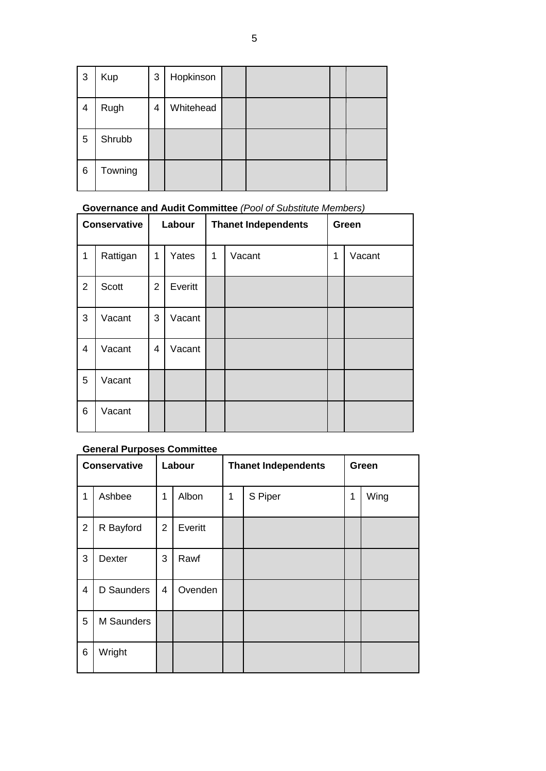| 3 | Kup     | 3 | Hopkinson |  |  |
|---|---------|---|-----------|--|--|
| 4 | Rugh    | 4 | Whitehead |  |  |
| 5 | Shrubb  |   |           |  |  |
| 6 | Towning |   |           |  |  |

# **Governance and Audit Committee** *(Pool of Substitute Members)*

| <b>Conservative</b> |          | Labour         |         |   | <b>Thanet Independents</b> | Green |        |  |
|---------------------|----------|----------------|---------|---|----------------------------|-------|--------|--|
| 1                   | Rattigan | 1              | Yates   | 1 | Vacant                     | 1     | Vacant |  |
| $\overline{2}$      | Scott    | $\overline{2}$ | Everitt |   |                            |       |        |  |
| 3                   | Vacant   | 3              | Vacant  |   |                            |       |        |  |
| 4                   | Vacant   | $\overline{4}$ | Vacant  |   |                            |       |        |  |
| 5                   | Vacant   |                |         |   |                            |       |        |  |
| 6                   | Vacant   |                |         |   |                            |       |        |  |

# **General Purposes Committee**

| <b>Conservative</b> |               | Labour         |         |   | <b>Thanet Independents</b> | Green |      |  |
|---------------------|---------------|----------------|---------|---|----------------------------|-------|------|--|
| 1                   | Ashbee        | 1              | Albon   | 1 | S Piper                    | 1     | Wing |  |
| $\overline{2}$      | R Bayford     | $\overline{2}$ | Everitt |   |                            |       |      |  |
| 3                   | <b>Dexter</b> | 3              | Rawf    |   |                            |       |      |  |
| $\overline{4}$      | D Saunders    | $\overline{4}$ | Ovenden |   |                            |       |      |  |
| 5                   | M Saunders    |                |         |   |                            |       |      |  |
| 6                   | Wright        |                |         |   |                            |       |      |  |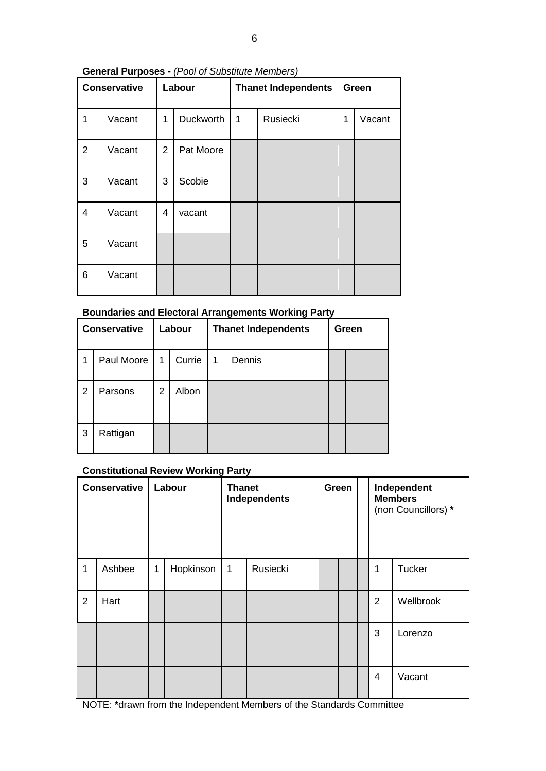# **General Purposes -** *(Pool of Substitute Members)*

| <b>Conservative</b> |        |                | Labour           |   | <b>Thanet Independents</b> | Green |        |  |
|---------------------|--------|----------------|------------------|---|----------------------------|-------|--------|--|
| 1                   | Vacant | 1              | <b>Duckworth</b> | 1 | Rusiecki                   | 1     | Vacant |  |
| $\overline{2}$      | Vacant | $\overline{2}$ | Pat Moore        |   |                            |       |        |  |
| 3                   | Vacant | 3              | Scobie           |   |                            |       |        |  |
| $\overline{4}$      | Vacant | 4              | vacant           |   |                            |       |        |  |
| 5                   | Vacant |                |                  |   |                            |       |        |  |
| 6                   | Vacant |                |                  |   |                            |       |        |  |

# **Boundaries and Electoral Arrangements Working Party**

| <b>Conservative</b> |            |   | Labour |   | <b>Thanet Independents</b> | Green |  |  |
|---------------------|------------|---|--------|---|----------------------------|-------|--|--|
| 1                   | Paul Moore | 1 | Currie | 1 | Dennis                     |       |  |  |
| 2                   | Parsons    | 2 | Albon  |   |                            |       |  |  |
| 3                   | Rattigan   |   |        |   |                            |       |  |  |

# **Constitutional Review Working Party**

| <b>Conservative</b> |        | Labour |           | <b>Thanet</b><br><b>Independents</b> |          | Green |  | Independent<br><b>Members</b><br>(non Councillors) * |               |
|---------------------|--------|--------|-----------|--------------------------------------|----------|-------|--|------------------------------------------------------|---------------|
| 1                   | Ashbee | 1      | Hopkinson | 1                                    | Rusiecki |       |  | 1                                                    | <b>Tucker</b> |
| $\overline{2}$      | Hart   |        |           |                                      |          |       |  | $\overline{2}$                                       | Wellbrook     |
|                     |        |        |           |                                      |          |       |  | 3                                                    | Lorenzo       |
|                     |        |        |           |                                      |          |       |  | 4                                                    | Vacant        |

NOTE: **\***drawn from the Independent Members of the Standards Committee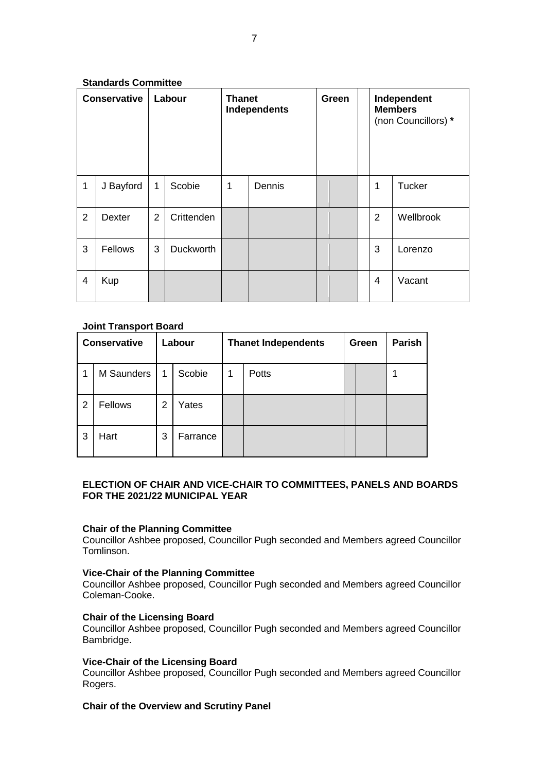# **Standards Committee**

| <b>Conservative</b> |           | Labour         |                  | <b>Thanet</b><br>Independents |        | Green |  | Independent<br><b>Members</b><br>(non Councillors) * |           |
|---------------------|-----------|----------------|------------------|-------------------------------|--------|-------|--|------------------------------------------------------|-----------|
| $\mathbf{1}$        | J Bayford | 1              | Scobie           | 1                             | Dennis |       |  | 1                                                    | Tucker    |
| 2                   | Dexter    | $\overline{2}$ | Crittenden       |                               |        |       |  | $\overline{2}$                                       | Wellbrook |
| 3                   | Fellows   | 3              | <b>Duckworth</b> |                               |        |       |  | 3                                                    | Lorenzo   |
| $\overline{4}$      | Kup       |                |                  |                               |        |       |  | $\overline{4}$                                       | Vacant    |

# **Joint Transport Board**

| <b>Conservative</b> |            | Labour |          | <b>Thanet Independents</b> |              |  | Green | <b>Parish</b> |
|---------------------|------------|--------|----------|----------------------------|--------------|--|-------|---------------|
|                     | M Saunders | 1      | Scobie   | 1                          | <b>Potts</b> |  |       |               |
| 2                   | Fellows    | 2      | Yates    |                            |              |  |       |               |
| 3                   | Hart       | 3      | Farrance |                            |              |  |       |               |

## **ELECTION OF CHAIR AND VICE-CHAIR TO COMMITTEES, PANELS AND BOARDS FOR THE 2021/22 MUNICIPAL YEAR**

# **Chair of the Planning Committee**

Councillor Ashbee proposed, Councillor Pugh seconded and Members agreed Councillor Tomlinson.

## **Vice-Chair of the Planning Committee**

Councillor Ashbee proposed, Councillor Pugh seconded and Members agreed Councillor Coleman-Cooke.

## **Chair of the Licensing Board**

Councillor Ashbee proposed, Councillor Pugh seconded and Members agreed Councillor Bambridge.

# **Vice-Chair of the Licensing Board**

Councillor Ashbee proposed, Councillor Pugh seconded and Members agreed Councillor Rogers.

## **Chair of the Overview and Scrutiny Panel**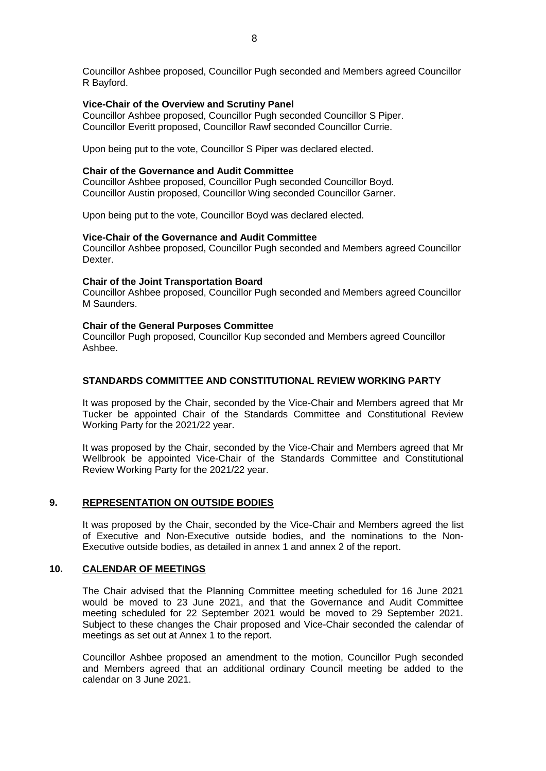Councillor Ashbee proposed, Councillor Pugh seconded and Members agreed Councillor R Bayford.

#### **Vice-Chair of the Overview and Scrutiny Panel**

Councillor Ashbee proposed, Councillor Pugh seconded Councillor S Piper. Councillor Everitt proposed, Councillor Rawf seconded Councillor Currie.

Upon being put to the vote, Councillor S Piper was declared elected.

### **Chair of the Governance and Audit Committee**

Councillor Ashbee proposed, Councillor Pugh seconded Councillor Boyd. Councillor Austin proposed, Councillor Wing seconded Councillor Garner.

Upon being put to the vote, Councillor Boyd was declared elected.

### **Vice-Chair of the Governance and Audit Committee**

Councillor Ashbee proposed, Councillor Pugh seconded and Members agreed Councillor Dexter.

#### **Chair of the Joint Transportation Board**

Councillor Ashbee proposed, Councillor Pugh seconded and Members agreed Councillor M Saunders.

### **Chair of the General Purposes Committee**

Councillor Pugh proposed, Councillor Kup seconded and Members agreed Councillor Ashbee.

### **STANDARDS COMMITTEE AND CONSTITUTIONAL REVIEW WORKING PARTY**

It was proposed by the Chair, seconded by the Vice-Chair and Members agreed that Mr Tucker be appointed Chair of the Standards Committee and Constitutional Review Working Party for the 2021/22 year.

It was proposed by the Chair, seconded by the Vice-Chair and Members agreed that Mr Wellbrook be appointed Vice-Chair of the Standards Committee and Constitutional Review Working Party for the 2021/22 year.

### **9. REPRESENTATION ON OUTSIDE BODIES**

It was proposed by the Chair, seconded by the Vice-Chair and Members agreed the list of Executive and Non-Executive outside bodies, and the nominations to the Non-Executive outside bodies, as detailed in annex 1 and annex 2 of the report.

### **10. CALENDAR OF MEETINGS**

The Chair advised that the Planning Committee meeting scheduled for 16 June 2021 would be moved to 23 June 2021, and that the Governance and Audit Committee meeting scheduled for 22 September 2021 would be moved to 29 September 2021. Subject to these changes the Chair proposed and Vice-Chair seconded the calendar of meetings as set out at Annex 1 to the report.

Councillor Ashbee proposed an amendment to the motion, Councillor Pugh seconded and Members agreed that an additional ordinary Council meeting be added to the calendar on 3 June 2021.